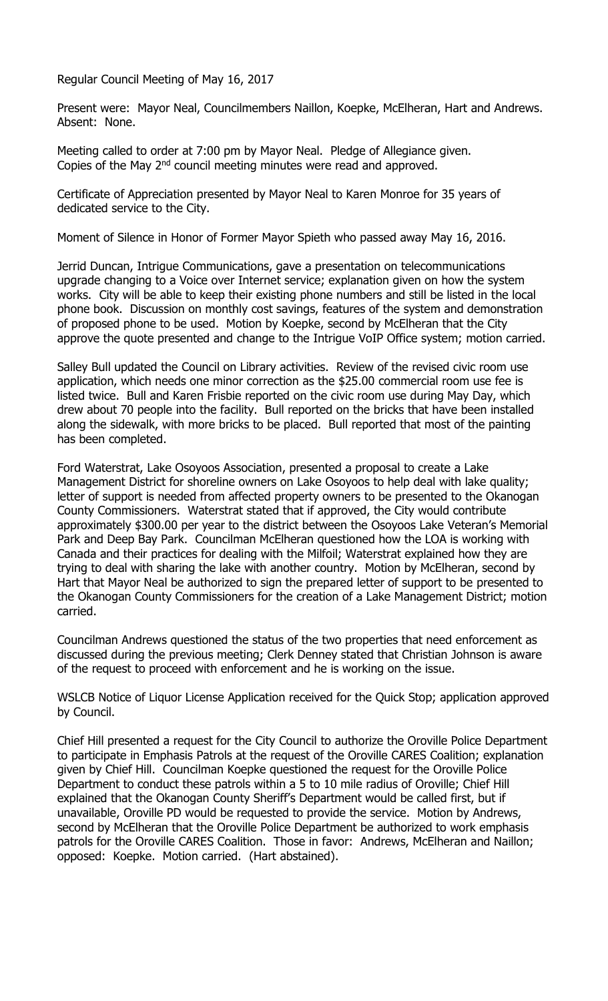Regular Council Meeting of May 16, 2017

Present were: Mayor Neal, Councilmembers Naillon, Koepke, McElheran, Hart and Andrews. Absent: None.

Meeting called to order at 7:00 pm by Mayor Neal. Pledge of Allegiance given. Copies of the May 2<sup>nd</sup> council meeting minutes were read and approved.

Certificate of Appreciation presented by Mayor Neal to Karen Monroe for 35 years of dedicated service to the City.

Moment of Silence in Honor of Former Mayor Spieth who passed away May 16, 2016.

Jerrid Duncan, Intrigue Communications, gave a presentation on telecommunications upgrade changing to a Voice over Internet service; explanation given on how the system works. City will be able to keep their existing phone numbers and still be listed in the local phone book. Discussion on monthly cost savings, features of the system and demonstration of proposed phone to be used. Motion by Koepke, second by McElheran that the City approve the quote presented and change to the Intrigue VoIP Office system; motion carried.

Salley Bull updated the Council on Library activities. Review of the revised civic room use application, which needs one minor correction as the \$25.00 commercial room use fee is listed twice. Bull and Karen Frisbie reported on the civic room use during May Day, which drew about 70 people into the facility. Bull reported on the bricks that have been installed along the sidewalk, with more bricks to be placed. Bull reported that most of the painting has been completed.

Ford Waterstrat, Lake Osoyoos Association, presented a proposal to create a Lake Management District for shoreline owners on Lake Osoyoos to help deal with lake quality; letter of support is needed from affected property owners to be presented to the Okanogan County Commissioners. Waterstrat stated that if approved, the City would contribute approximately \$300.00 per year to the district between the Osoyoos Lake Veteran's Memorial Park and Deep Bay Park. Councilman McElheran questioned how the LOA is working with Canada and their practices for dealing with the Milfoil; Waterstrat explained how they are trying to deal with sharing the lake with another country. Motion by McElheran, second by Hart that Mayor Neal be authorized to sign the prepared letter of support to be presented to the Okanogan County Commissioners for the creation of a Lake Management District; motion carried.

Councilman Andrews questioned the status of the two properties that need enforcement as discussed during the previous meeting; Clerk Denney stated that Christian Johnson is aware of the request to proceed with enforcement and he is working on the issue.

WSLCB Notice of Liquor License Application received for the Quick Stop; application approved by Council.

Chief Hill presented a request for the City Council to authorize the Oroville Police Department to participate in Emphasis Patrols at the request of the Oroville CARES Coalition; explanation given by Chief Hill. Councilman Koepke questioned the request for the Oroville Police Department to conduct these patrols within a 5 to 10 mile radius of Oroville; Chief Hill explained that the Okanogan County Sheriff's Department would be called first, but if unavailable, Oroville PD would be requested to provide the service. Motion by Andrews, second by McElheran that the Oroville Police Department be authorized to work emphasis patrols for the Oroville CARES Coalition. Those in favor: Andrews, McElheran and Naillon; opposed: Koepke. Motion carried. (Hart abstained).